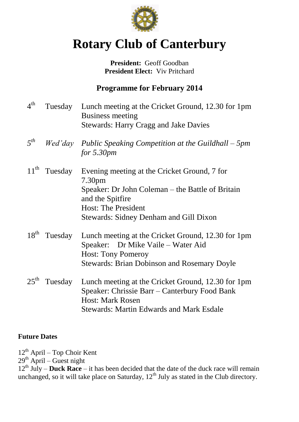

# **Rotary Club of Canterbury**

#### President: Geoff Goodban **President Elect:** Viv Pritchard

## **Programme for February 2014**

 $4<sup>th</sup>$ Tuesday Lunch meeting at the Cricket Ground, 12.30 for 1pm Business meeting Stewards: Harry Cragg and Jake Davies *5 th Wed'day Public Speaking Competition at the Guildhall – 5pm for 5.30pm*  $11^{\text{th}}$ Tuesday Evening meeting at the Cricket Ground, 7 for 7.30pm Speaker: Dr John Coleman – the Battle of Britain and the Spitfire Host: The President Stewards: Sidney Denham and Gill Dixon 18<sup>th</sup> Tuesday Lunch meeting at the Cricket Ground, 12.30 for 1pm Speaker: Dr Mike Vaile – Water Aid Host: Tony Pomeroy Stewards: Brian Dobinson and Rosemary Doyle  $25^{\text{th}}$ Tuesday Lunch meeting at the Cricket Ground, 12.30 for 1pm Speaker: Chrissie Barr – Canterbury Food Bank Host: Mark Rosen Stewards: Martin Edwards and Mark Esdale

### **Future Dates**

 $12^{th}$  April – Top Choir Kent

 $29<sup>th</sup>$  April – Guest night

 $12<sup>th</sup>$  July – **Duck Race** – it has been decided that the date of the duck race will remain unchanged, so it will take place on Saturday,  $12<sup>th</sup>$  July as stated in the Club directory.